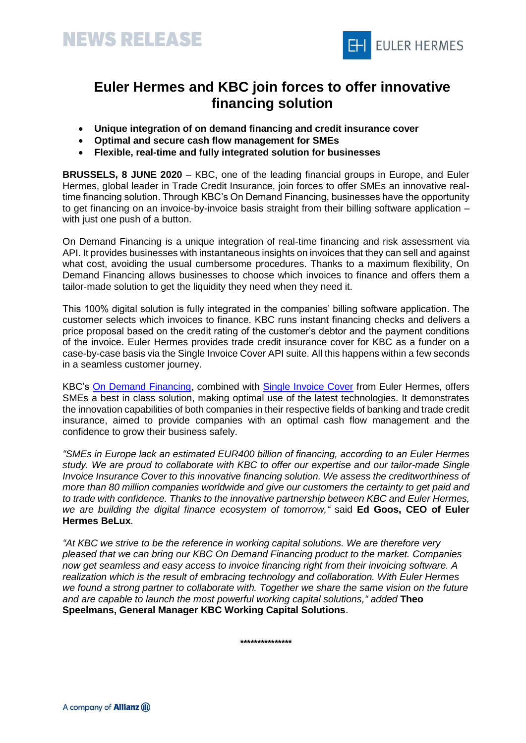



## **Euler Hermes and KBC join forces to offer innovative financing solution**

- **Unique integration of on demand financing and credit insurance cover**
- **Optimal and secure cash flow management for SMEs**
- **Flexible, real-time and fully integrated solution for businesses**

**BRUSSELS, 8 JUNE 2020** – KBC, one of the leading financial groups in Europe, and Euler Hermes, global leader in Trade Credit Insurance, join forces to offer SMEs an innovative realtime financing solution. Through KBC's On Demand Financing, businesses have the opportunity to get financing on an invoice-by-invoice basis straight from their billing software application – with just one push of a button.

On Demand Financing is a unique integration of real-time financing and risk assessment via API. It provides businesses with instantaneous insights on invoices that they can sell and against what cost, avoiding the usual cumbersome procedures. Thanks to a maximum flexibility, On Demand Financing allows businesses to choose which invoices to finance and offers them a tailor-made solution to get the liquidity they need when they need it.

This 100% digital solution is fully integrated in the companies' billing software application. The customer selects which invoices to finance. KBC runs instant financing checks and delivers a price proposal based on the credit rating of the customer's debtor and the payment conditions of the invoice. Euler Hermes provides trade credit insurance cover for KBC as a funder on a case-by-case basis via the Single Invoice Cover API suite. All this happens within a few seconds in a seamless customer journey.

KBC's [On Demand Financing,](https://www.kbc.be/business/en/products/credit/factoring-on-demand.html) combined with [Single Invoice Cover](https://single-invoice.co/) from Euler Hermes, offers SMEs a best in class solution, making optimal use of the latest technologies. It demonstrates the innovation capabilities of both companies in their respective fields of banking and trade credit insurance, aimed to provide companies with an optimal cash flow management and the confidence to grow their business safely.

*"SMEs in Europe lack an estimated EUR400 billion of financing, according to an Euler Hermes study. We are proud to collaborate with KBC to offer our expertise and our tailor-made Single Invoice Insurance Cover to this innovative financing solution. We assess the creditworthiness of more than 80 million companies worldwide and give our customers the certainty to get paid and to trade with confidence. Thanks to the innovative partnership between KBC and Euler Hermes, we are building the digital finance ecosystem of tomorrow,"* said **Ed Goos, CEO of Euler Hermes BeLux**.

*"At KBC we strive to be the reference in working capital solutions. We are therefore very pleased that we can bring our KBC On Demand Financing product to the market. Companies now get seamless and easy access to invoice financing right from their invoicing software. A realization which is the result of embracing technology and collaboration. With Euler Hermes we found a strong partner to collaborate with. Together we share the same vision on the future and are capable to launch the most powerful working capital solutions," added* **Theo Speelmans, General Manager KBC Working Capital Solutions**.

**\*\*\*\*\*\*\*\*\*\*\*\*\*\*\***